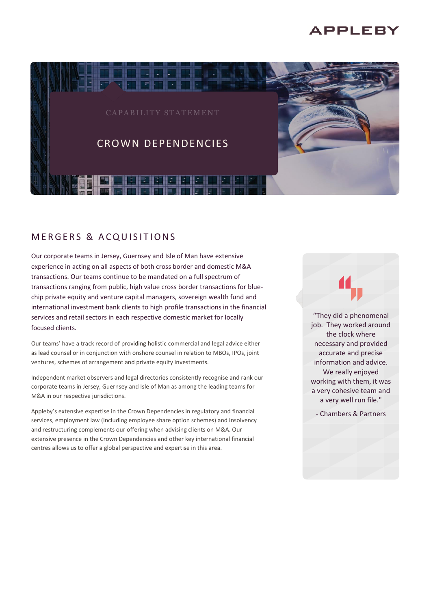# **APPLEBY**



# **MERGERS & ACQUISITIONS**

Our corporate teams in Jersey, Guernsey and Isle of Man have extensive experience in acting on all aspects of both cross border and domestic M&A transactions. Our teams continue to be mandated on a full spectrum of transactions ranging from public, high value cross border transactions for bluechip private equity and venture capital managers, sovereign wealth fund and international investment bank clients to high profile transactions in the financial services and retail sectors in each respective domestic market for locally focused clients.

Our teams' have a track record of providing holistic commercial and legal advice either as lead counsel or in conjunction with onshore counsel in relation to MBOs, IPOs, joint ventures, schemes of arrangement and private equity investments.

Independent market observers and legal directories consistently recognise and rank our corporate teams in Jersey, Guernsey and Isle of Man as among the leading teams for M&A in our respective jurisdictions.

Appleby's extensive expertise in the Crown Dependencies in regulatory and financial services, employment law (including employee share option schemes) and insolvency and restructuring complements our offering when advising clients on M&A. Our extensive presence in the Crown Dependencies and other key international financial centres allows us to offer a global perspective and expertise in this area.

"They did a phenomenal job. They worked around the clock where necessary and provided accurate and precise information and advice. We really enjoyed working with them, it was a very cohesive team and a very well run file."

- Chambers & Partners